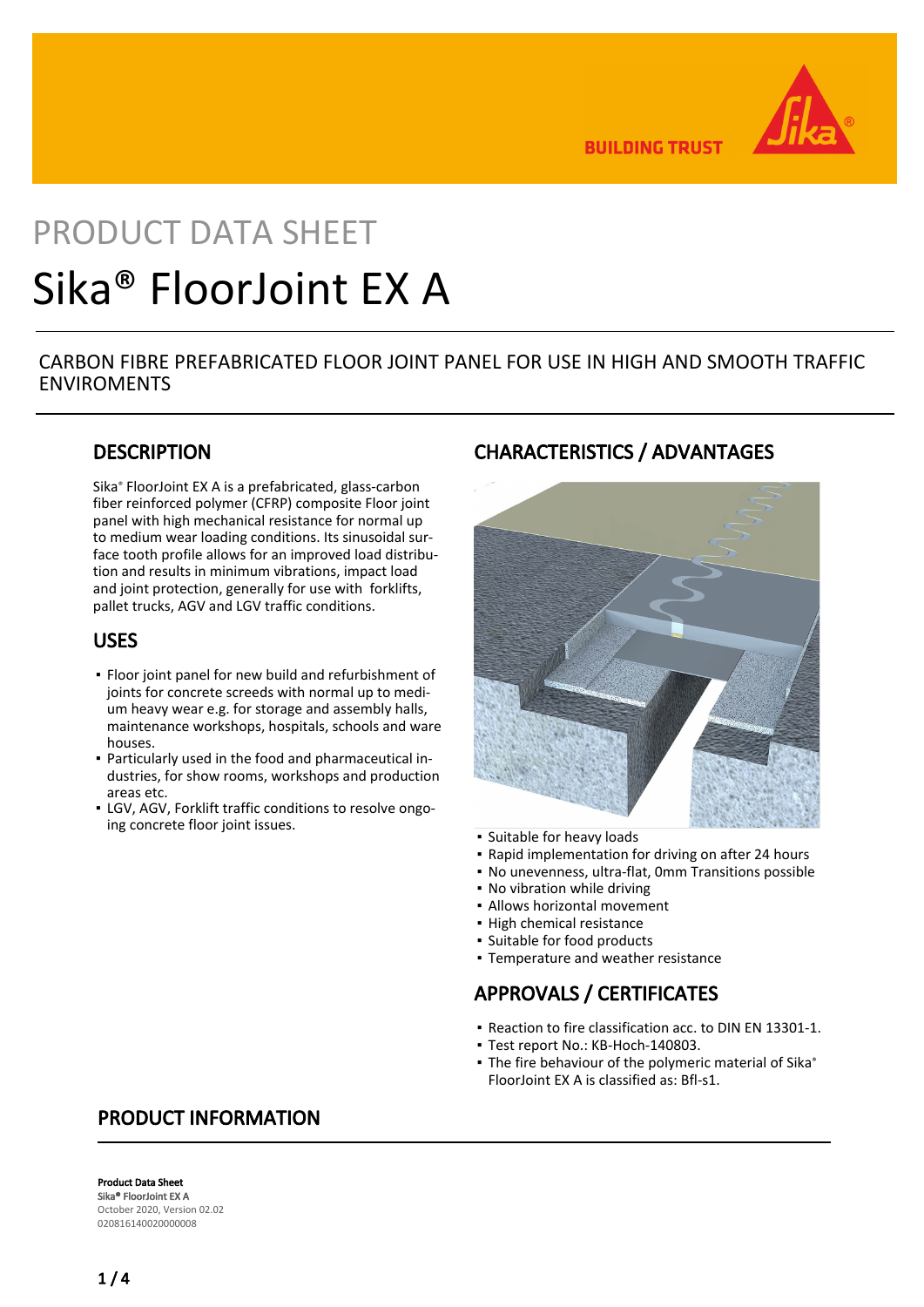

**BUILDING TRUST** 

# PRODUCT DATA SHEET Sika® FloorJoint EX A

### CARBON FIBRE PREFABRICATED FLOOR JOINT PANEL FOR USE IN HIGH AND SMOOTH TRAFFIC ENVIROMENTS

### **DESCRIPTION**

Sika® FloorJoint EX A is a prefabricated, glass-carbon fiber reinforced polymer (CFRP) composite Floor joint panel with high mechanical resistance for normal up to medium wear loading conditions. Its sinusoidal surface tooth profile allows for an improved load distribution and results in minimum vibrations, impact load and joint protection, generally for use with forklifts, pallet trucks, AGV and LGV traffic conditions.

### USES

- **Floor joint panel for new build and refurbishment of** joints for concrete screeds with normal up to medium heavy wear e.g. for storage and assembly halls, maintenance workshops, hospitals, schools and ware houses.
- Particularly used in the food and pharmaceutical in-▪ dustries, for show rooms, workshops and production areas etc.
- **EGV, AGV, Forklift traffic conditions to resolve ongo**ing concrete floor joint issues.

### CHARACTERISTICS / ADVANTAGES



- Suitable for heavy loads
- Rapid implementation for driving on after 24 hours
- No unevenness, ultra-flat, 0mm Transitions possible
- No vibration while driving
- Allows horizontal movement
- High chemical resistance
- Suitable for food products
- Temperature and weather resistance

# APPROVALS / CERTIFICATES

- Reaction to fire classification acc. to DIN EN 13301-1.
- Test report No.: KB-Hoch-140803.
- The fire behaviour of the polymeric material of Sika<sup>®</sup> FloorJoint EX A is classified as: Bfl-s1.

### PRODUCT INFORMATION

Product Data Sheet Sika® FloorJoint FX A October 2020, Version 02.02 020816140020000008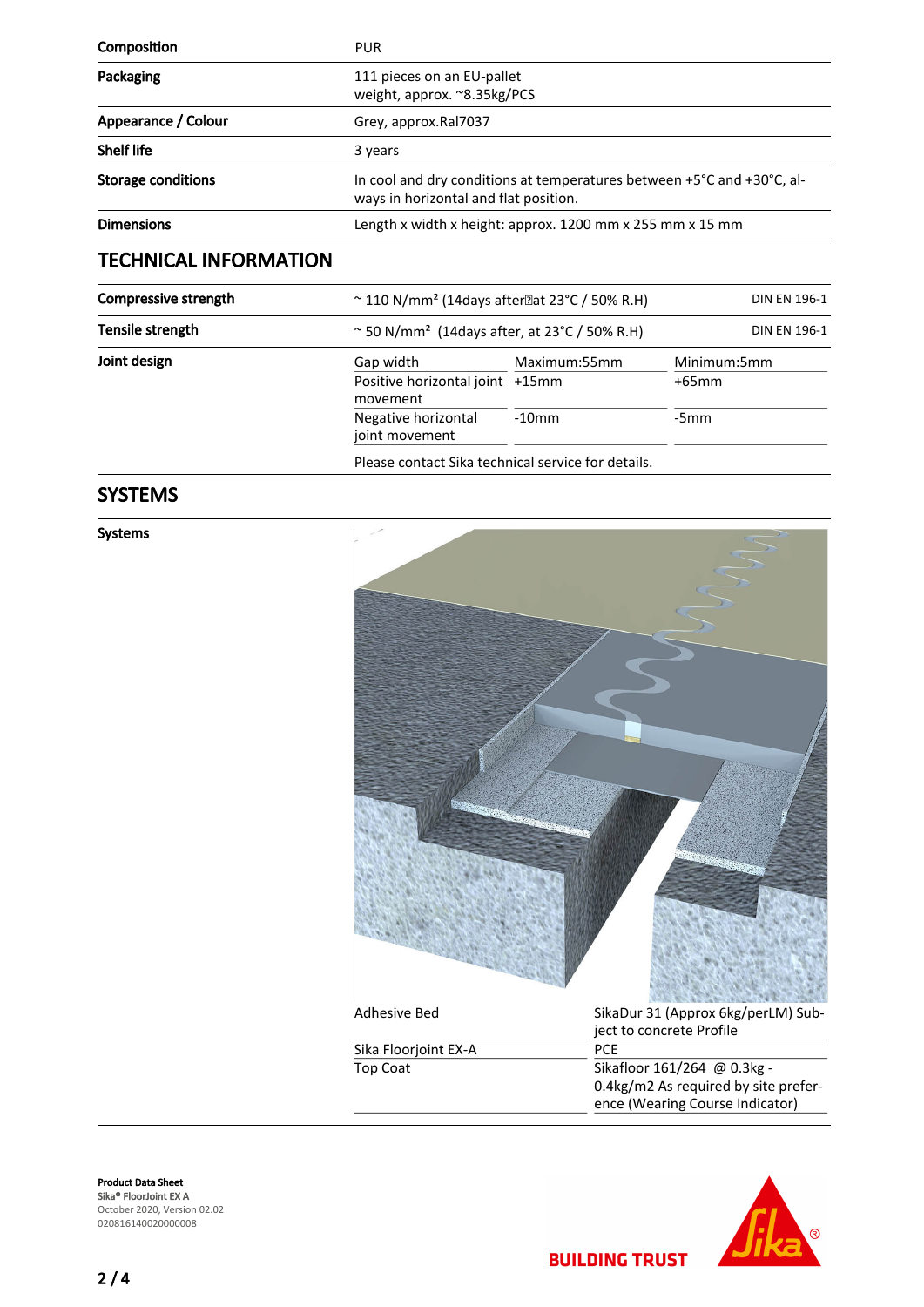| Composition                  | <b>PUR</b>                                                                                                      |              |             |
|------------------------------|-----------------------------------------------------------------------------------------------------------------|--------------|-------------|
| Packaging                    | 111 pieces on an EU-pallet<br>weight, approx. ~8.35kg/PCS                                                       |              |             |
| Appearance / Colour          | Grey, approx.Ral7037                                                                                            |              |             |
| <b>Shelf life</b>            | 3 years                                                                                                         |              |             |
| <b>Storage conditions</b>    | In cool and dry conditions at temperatures between +5°C and +30°C, al-<br>ways in horizontal and flat position. |              |             |
| <b>Dimensions</b>            | Length x width x height: approx. 1200 mm x 255 mm x 15 mm                                                       |              |             |
| <b>TECHNICAL INFORMATION</b> |                                                                                                                 |              |             |
| Compressive strength         | $\sim$ 110 N/mm <sup>2</sup> (14days after at 23°C / 50% R.H)<br><b>DIN EN 196-1</b>                            |              |             |
| Tensile strength             | $\sim$ 50 N/mm <sup>2</sup> (14days after, at 23 °C / 50% R.H)<br><b>DIN EN 196-1</b>                           |              |             |
| Joint design                 | Gap width                                                                                                       | Maximum:55mm | Minimum:5mm |
|                              | Positive horizontal joint +15mm<br>movement                                                                     |              | $+65$ mm    |
|                              | Negative horizontal                                                                                             | $-10$ mm     | $-5mm$      |

Please contact Sika technical service for details.

joint movement

# SYSTEMS

Systems



**BUILDING TRUST** 



Product Data Sheet Sika® FloorJoint EX A October 2020, Version 02.02 020816140020000008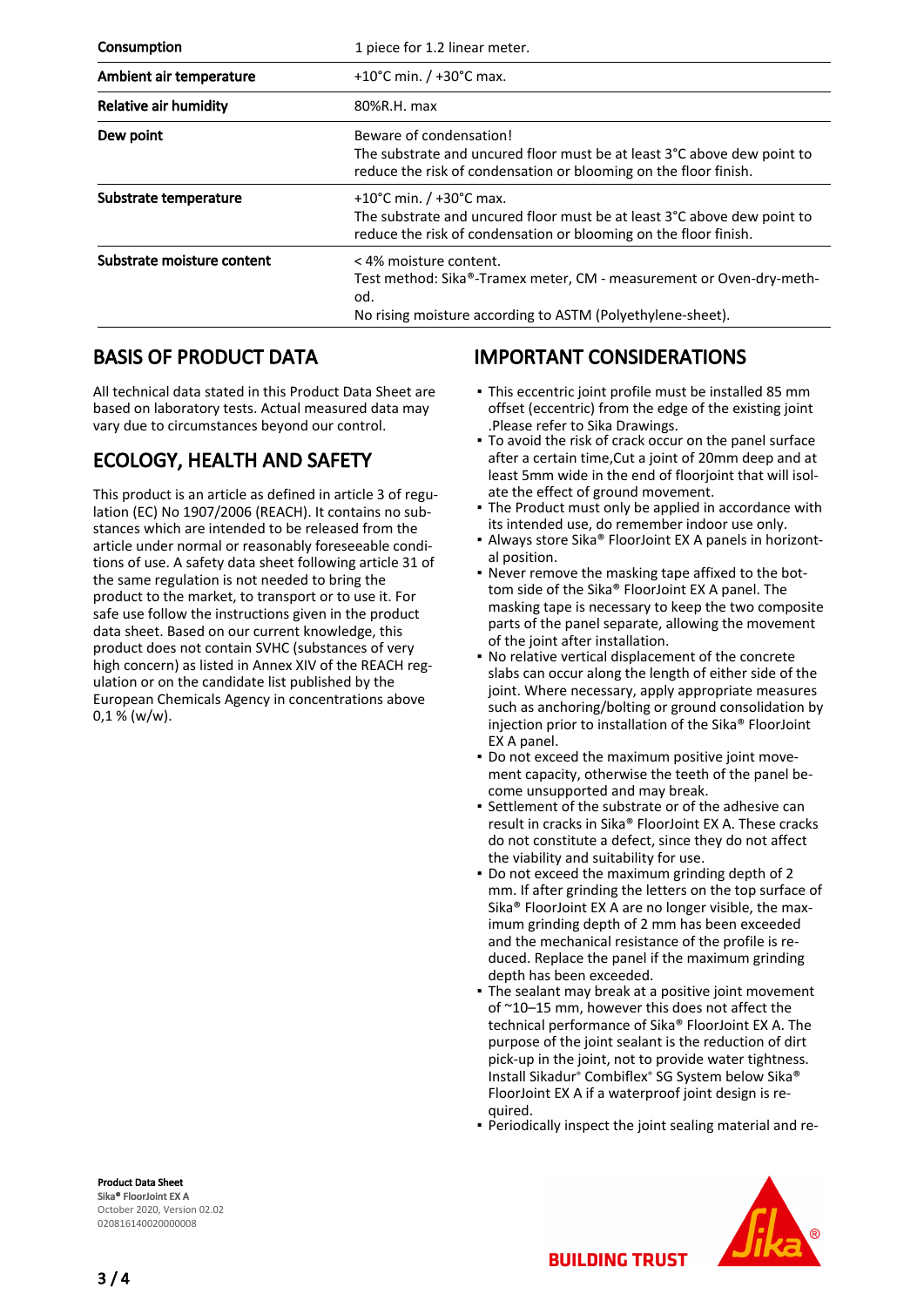| Consumption                | 1 piece for 1.2 linear meter.                                                                                                                                            |  |  |
|----------------------------|--------------------------------------------------------------------------------------------------------------------------------------------------------------------------|--|--|
| Ambient air temperature    | +10°C min. $/$ +30°C max.                                                                                                                                                |  |  |
| Relative air humidity      | 80%R.H. max                                                                                                                                                              |  |  |
| Dew point                  | Beware of condensation!<br>The substrate and uncured floor must be at least 3°C above dew point to<br>reduce the risk of condensation or blooming on the floor finish.   |  |  |
| Substrate temperature      | +10°C min. $/$ +30°C max.<br>The substrate and uncured floor must be at least 3°C above dew point to<br>reduce the risk of condensation or blooming on the floor finish. |  |  |
| Substrate moisture content | < 4% moisture content.<br>Test method: Sika®-Tramex meter, CM - measurement or Oven-dry-meth-<br>od.<br>No rising moisture according to ASTM (Polyethylene-sheet).       |  |  |

### BASIS OF PRODUCT DATA

All technical data stated in this Product Data Sheet are based on laboratory tests. Actual measured data may vary due to circumstances beyond our control.

# ECOLOGY, HEALTH AND SAFETY

This product is an article as defined in article 3 of regulation (EC) No 1907/2006 (REACH). It contains no substances which are intended to be released from the article under normal or reasonably foreseeable conditions of use. A safety data sheet following article 31 of the same regulation is not needed to bring the product to the market, to transport or to use it. For safe use follow the instructions given in the product data sheet. Based on our current knowledge, this product does not contain SVHC (substances of very high concern) as listed in Annex XIV of the REACH regulation or on the candidate list published by the European Chemicals Agency in concentrations above  $0,1 %$  (w/w).

### IMPORTANT CONSIDERATIONS

- This eccentric joint profile must be installed 85 mm offset (eccentric) from the edge of the existing joint .Please refer to Sika Drawings.
- To avoid the risk of crack occur on the panel surface after a certain time,Cut a joint of 20mm deep and at least 5mm wide in the end of floorjoint that will isolate the effect of ground movement.
- The Product must only be applied in accordance with its intended use, do remember indoor use only. ▪
- Always store Sika® FloorJoint EX A panels in horizontal position. ▪
- Never remove the masking tape affixed to the bot-▪ tom side of the Sika® FloorJoint EX A panel. The masking tape is necessary to keep the two composite parts of the panel separate, allowing the movement of the joint after installation.
- No relative vertical displacement of the concrete slabs can occur along the length of either side of the joint. Where necessary, apply appropriate measures such as anchoring/bolting or ground consolidation by injection prior to installation of the Sika® FloorJoint EX A panel. ▪
- Do not exceed the maximum positive joint move-▪ ment capacity, otherwise the teeth of the panel become unsupported and may break.
- Settlement of the substrate or of the adhesive can result in cracks in Sika® FloorJoint EX A. These cracks do not constitute a defect, since they do not affect the viability and suitability for use. ▪
- Do not exceed the maximum grinding depth of 2 mm. If after grinding the letters on the top surface of Sika® FloorJoint EX A are no longer visible, the maximum grinding depth of 2 mm has been exceeded and the mechanical resistance of the profile is reduced. Replace the panel if the maximum grinding depth has been exceeded.
- The sealant may break at a positive joint movement of ~10–15 mm, however this does not affect the technical performance of Sika® FloorJoint EX A. The purpose of the joint sealant is the reduction of dirt pick-up in the joint, not to provide water tightness. Install Sikadur® Combiflex® SG System below Sika® FloorJoint EX A if a waterproof joint design is required. ▪
- Periodically inspect the joint sealing material and re-

**BUILDING TRUST** 



Product Data Sheet Sika® FloorJoint EX A October 2020, Version 02.02 020816140020000008